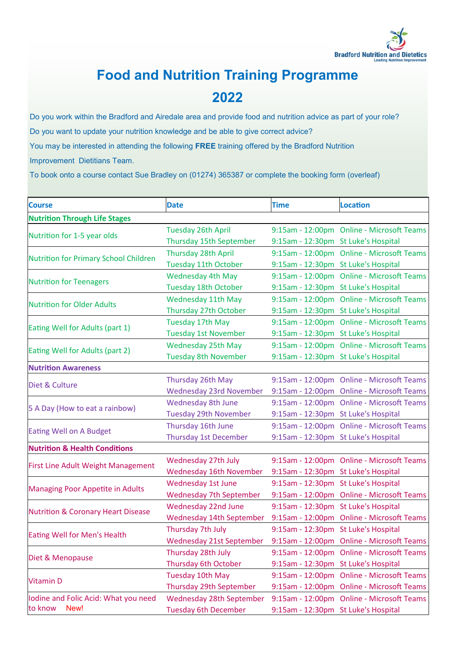

## **Food and Nutrition Training Programme Food and Nutrition Training Programme**

## **2022 2022**

Do you work within the Bradford and Airedale area and provide food and nutrition advice as part of your role?

Do you want to update your nutrition knowledge and be able to give correct advice?

You may be interested in attending the following **FREE** training offered by the Bradford Nutrition

Improvement Dietitians Team.

To book onto a course contact Sue Bradley on (01274) 365387 or complete the booking form (overleaf)

| <b>Course</b>                                 | <b>Date</b>                                                        | <b>Time</b>                         | <b>Location</b>                           |
|-----------------------------------------------|--------------------------------------------------------------------|-------------------------------------|-------------------------------------------|
| <b>Nutrition Through Life Stages</b>          |                                                                    |                                     |                                           |
| Nutrition for 1-5 year olds                   | <b>Tuesday 26th April</b>                                          |                                     | 9:15am - 12:00pm Online - Microsoft Teams |
|                                               | Thursday 15th September                                            | 9:15am - 12:30pm St Luke's Hospital |                                           |
| <b>Nutrition for Primary School Children</b>  | Thursday 28th April                                                |                                     | 9:15am - 12:00pm Online - Microsoft Teams |
|                                               | <b>Tuesday 11th October</b>                                        | 9:15am - 12:30pm St Luke's Hospital |                                           |
| <b>Nutrition for Teenagers</b>                | <b>Wednesday 4th May</b>                                           |                                     | 9:15am - 12:00pm Online - Microsoft Teams |
|                                               | <b>Tuesday 18th October</b>                                        | 9:15am - 12:30pm St Luke's Hospital |                                           |
| <b>Nutrition for Older Adults</b>             | Wednesday 11th May                                                 |                                     | 9:15am - 12:00pm Online - Microsoft Teams |
|                                               | Thursday 27th October                                              | 9:15am - 12:30pm St Luke's Hospital |                                           |
| Eating Well for Adults (part 1)               | Tuesday 17th May                                                   |                                     | 9:15am - 12:00pm Online - Microsoft Teams |
|                                               | <b>Tuesday 1st November</b>                                        | 9:15am - 12:30pm St Luke's Hospital |                                           |
| Eating Well for Adults (part 2)               | <b>Wednesday 25th May</b>                                          |                                     | 9:15am - 12:00pm Online - Microsoft Teams |
|                                               | <b>Tuesday 8th November</b>                                        | 9:15am - 12:30pm St Luke's Hospital |                                           |
| <b>Nutrition Awareness</b>                    |                                                                    |                                     |                                           |
| Diet & Culture                                | Thursday 26th May                                                  |                                     | 9:15am - 12:00pm Online - Microsoft Teams |
|                                               | <b>Wednesday 23rd November</b>                                     |                                     | 9:15am - 12:00pm Online - Microsoft Teams |
| 5 A Day (How to eat a rainbow)                | <b>Wednesday 8th June</b>                                          |                                     | 9:15am - 12:00pm Online - Microsoft Teams |
|                                               | <b>Tuesday 29th November</b>                                       | 9:15am - 12:30pm St Luke's Hospital |                                           |
| <b>Eating Well on A Budget</b>                | Thursday 16th June                                                 |                                     | 9:15am - 12:00pm Online - Microsoft Teams |
|                                               | <b>Thursday 1st December</b>                                       | 9:15am - 12:30pm St Luke's Hospital |                                           |
| <b>Nutrition &amp; Health Conditions</b>      |                                                                    |                                     |                                           |
| First Line Adult Weight Management            | Wednesday 27th July                                                |                                     | 9:15am - 12:00pm Online - Microsoft Teams |
|                                               | Wednesday 16th November                                            | 9:15am - 12:30pm St Luke's Hospital |                                           |
| <b>Managing Poor Appetite in Adults</b>       | Wednesday 1st June                                                 | 9:15am - 12:30pm St Luke's Hospital |                                           |
|                                               | <b>Wednesday 7th September</b>                                     |                                     | 9:15am - 12:00pm Online - Microsoft Teams |
| <b>Nutrition &amp; Coronary Heart Disease</b> | Wednesday 22nd June                                                | 9:15am - 12:30pm St Luke's Hospital |                                           |
|                                               | Wednesday 14th September 9:15am - 12:00pm Online - Microsoft Teams |                                     |                                           |
| <b>Eating Well for Men's Health</b>           | Thursday 7th July                                                  | 9:15am - 12:30pm St Luke's Hospital |                                           |
|                                               | Wednesday 21st September 9:15am - 12:00pm Online - Microsoft Teams |                                     |                                           |
| Diet & Menopause                              | Thursday 28th July                                                 |                                     | 9:15am - 12:00pm Online - Microsoft Teams |
|                                               | Thursday 6th October                                               | 9:15am - 12:30pm St Luke's Hospital |                                           |
| <b>Vitamin D</b>                              | Tuesday 10th May                                                   |                                     | 9:15am - 12:00pm Online - Microsoft Teams |
|                                               | Thursday 29th September                                            |                                     | 9:15am - 12:00pm Online - Microsoft Teams |
| lodine and Folic Acid: What you need          | Wednesday 28th September                                           |                                     | 9:15am - 12:00pm Online - Microsoft Teams |
| to know<br>New!                               | <b>Tuesday 6th December</b>                                        | 9:15am - 12:30pm St Luke's Hospital |                                           |